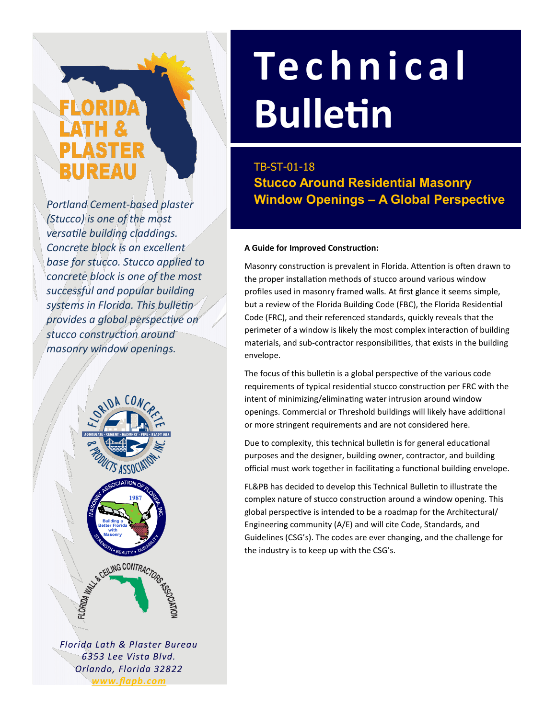# BUREAU

*Portland Cement-based plaster (Stucco) is one of the most versatile building claddings. Concrete block is an excellent base for stucco. Stucco applied to concrete block is one of the most successful and popular building systems in Florida. This bulletin provides a global perspective on stucco construction around masonry window openings.*



*Florida Lath & Plaster Bureau 6353 Lee Vista Blvd. Orlando, Florida 32822 www.flapb.com*

# **Te c h n i c a l Bulletin**

**Stucco Around Residential Masonry Window Openings – A Global Perspective** TB-ST-01-18

# **A Guide for Improved Construction:**

Masonry construction is prevalent in Florida. Attention is often drawn to the proper installation methods of stucco around various window profiles used in masonry framed walls. At first glance it seems simple, but a review of the Florida Building Code (FBC), the Florida Residential Code (FRC), and their referenced standards, quickly reveals that the perimeter of a window is likely the most complex interaction of building materials, and sub-contractor responsibilities, that exists in the building envelope.

The focus of this bulletin is a global perspective of the various code requirements of typical residential stucco construction per FRC with the intent of minimizing/eliminating water intrusion around window openings. Commercial or Threshold buildings will likely have additional or more stringent requirements and are not considered here.

Due to complexity, this technical bulletin is for general educational purposes and the designer, building owner, contractor, and building official must work together in facilitating a functional building envelope.

FL&PB has decided to develop this Technical Bulletin to illustrate the complex nature of stucco construction around a window opening. This global perspective is intended to be a roadmap for the Architectural/ Engineering community (A/E) and will cite Code, Standards, and Guidelines (CSG's). The codes are ever changing, and the challenge for the industry is to keep up with the CSG's.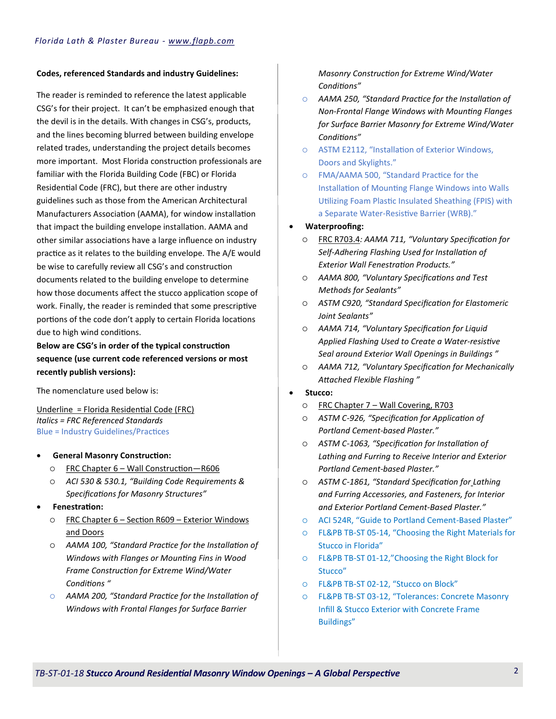### **Codes, referenced Standards and industry Guidelines:**

The reader is reminded to reference the latest applicable CSG's for their project. It can't be emphasized enough that the devil is in the details. With changes in CSG's, products, and the lines becoming blurred between building envelope related trades, understanding the project details becomes more important. Most Florida construction professionals are familiar with the Florida Building Code (FBC) or Florida Residential Code (FRC), but there are other industry guidelines such as those from the American Architectural Manufacturers Association (AAMA), for window installation that impact the building envelope installation. AAMA and other similar associations have a large influence on industry practice as it relates to the building envelope. The A/E would be wise to carefully review all CSG's and construction documents related to the building envelope to determine how those documents affect the stucco application scope of work. Finally, the reader is reminded that some prescriptive portions of the code don't apply to certain Florida locations due to high wind conditions.

**Below are CSG's in order of the typical construction sequence (use current code referenced versions or most recently publish versions):**

The nomenclature used below is:

Underline = Florida Residential Code (FRC) *Italics = FRC Referenced Standards* Blue = Industry Guidelines/Practices

- **General Masonry Construction:**
	- FRC Chapter 6 Wall Construction—R606
	- *ACI 530 & 530.1, "Building Code Requirements & Specifications for Masonry Structures"*
- **Fenestration:**
	- FRC Chapter 6 Section R609 Exterior Windows and Doors
	- *AAMA 100, "Standard Practice for the Installation of Windows with Flanges or Mounting Fins in Wood Frame Construction for Extreme Wind/Water Conditions "*
	- *AAMA 200, "Standard Practice for the Installation of Windows with Frontal Flanges for Surface Barrier*

*Masonry Construction for Extreme Wind/Water Conditions"*

- *AAMA 250, "Standard Practice for the Installation of Non-Frontal Flange Windows with Mounting Flanges for Surface Barrier Masonry for Extreme Wind/Water Conditions"*
- ASTM E2112, "Installation of Exterior Windows, Doors and Skylights."
- FMA/AAMA 500, "Standard Practice for the Installation of Mounting Flange Windows into Walls Utilizing Foam Plastic Insulated Sheathing (FPIS) with a Separate Water-Resistive Barrier (WRB)."

# **Waterproofing:**

- FRC R703.4*: AAMA 711, "Voluntary Specification for Self-Adhering Flashing Used for Installation of Exterior Wall Fenestration Products."*
- *AAMA 800, "Voluntary Specifications and Test Methods for Sealants"*
- *ASTM C920, "Standard Specification for Elastomeric Joint Sealants"*
- *AAMA 714, "Voluntary Specification for Liquid Applied Flashing Used to Create a Water-resistive Seal around Exterior Wall Openings in Buildings "*
- *AAMA 712, "Voluntary Specification for Mechanically Attached Flexible Flashing "*

# **Stucco:**

- FRC Chapter 7 Wall Covering, R703
- *ASTM C-926, "Specification for Application of Portland Cement-based Plaster."*
- *ASTM C-1063, "Specification for Installation of Lathing and Furring to Receive Interior and Exterior Portland Cement-based Plaster."*
- *ASTM C-1861, "Standard Specification for Lathing and Furring Accessories, and Fasteners, for Interior and Exterior Portland Cement-Based Plaster."*
- ACI 524R, "Guide to Portland Cement-Based Plaster"
- FL&PB TB-ST 05-14, "Choosing the Right Materials for Stucco in Florida"
- FL&PB TB-ST 01-12,"Choosing the Right Block for Stucco"
- FL&PB TB-ST 02-12, "Stucco on Block"
- FL&PB TB-ST 03-12, "Tolerances: Concrete Masonry Infill & Stucco Exterior with Concrete Frame Buildings"